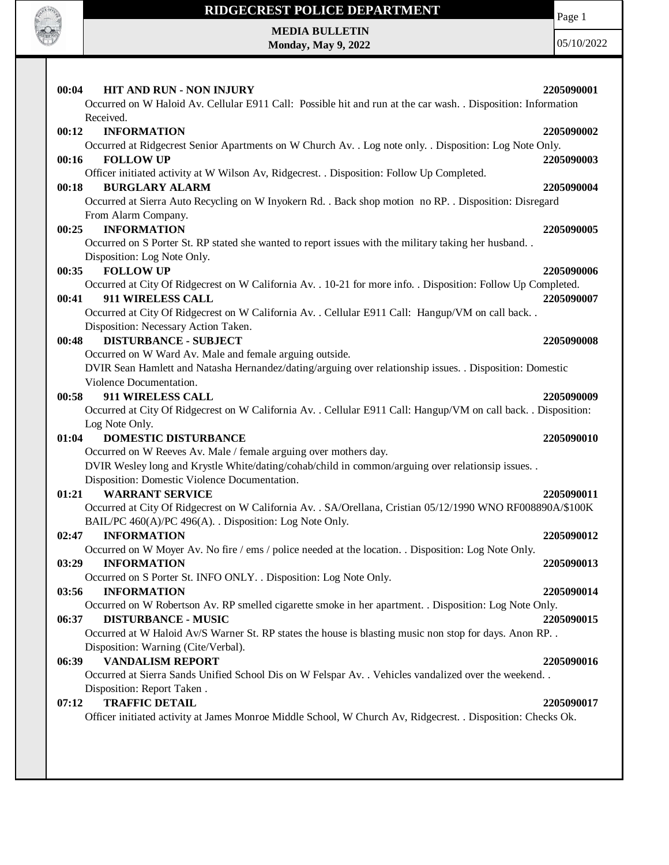

# **RIDGECREST POLICE DEPARTMENT MEDIA BULLETIN**

**Monday, May 9, 2022**

Page 1

| HIT AND RUN - NON INJURY<br>Occurred on W Haloid Av. Cellular E911 Call: Possible hit and run at the car wash. . Disposition: Information | 2205090001 |
|-------------------------------------------------------------------------------------------------------------------------------------------|------------|
| Received.                                                                                                                                 |            |
| <b>INFORMATION</b><br>00:12                                                                                                               | 2205090002 |
| Occurred at Ridgecrest Senior Apartments on W Church Av. . Log note only. . Disposition: Log Note Only.                                   |            |
| <b>FOLLOW UP</b><br>00:16                                                                                                                 | 2205090003 |
| Officer initiated activity at W Wilson Av, Ridgecrest. . Disposition: Follow Up Completed.                                                |            |
| <b>BURGLARY ALARM</b><br>00:18                                                                                                            | 2205090004 |
| Occurred at Sierra Auto Recycling on W Inyokern Rd. . Back shop motion no RP. . Disposition: Disregard                                    |            |
| From Alarm Company.                                                                                                                       |            |
| <b>INFORMATION</b><br>00:25                                                                                                               | 2205090005 |
| Occurred on S Porter St. RP stated she wanted to report issues with the military taking her husband                                       |            |
| Disposition: Log Note Only.                                                                                                               |            |
| 00:35<br><b>FOLLOW UP</b>                                                                                                                 | 2205090006 |
| Occurred at City Of Ridgecrest on W California Av. . 10-21 for more info. . Disposition: Follow Up Completed.                             |            |
| 911 WIRELESS CALL<br>00:41                                                                                                                | 2205090007 |
| Occurred at City Of Ridgecrest on W California Av. . Cellular E911 Call: Hangup/VM on call back. .                                        |            |
| Disposition: Necessary Action Taken.                                                                                                      |            |
| <b>DISTURBANCE - SUBJECT</b><br>00:48                                                                                                     | 2205090008 |
| Occurred on W Ward Av. Male and female arguing outside.                                                                                   |            |
| DVIR Sean Hamlett and Natasha Hernandez/dating/arguing over relationship issues. . Disposition: Domestic                                  |            |
| Violence Documentation.                                                                                                                   |            |
| 911 WIRELESS CALL<br>00:58                                                                                                                | 2205090009 |
| Occurred at City Of Ridgecrest on W California Av. . Cellular E911 Call: Hangup/VM on call back. . Disposition:                           |            |
| Log Note Only.<br>01:04<br><b>DOMESTIC DISTURBANCE</b>                                                                                    | 2205090010 |
| Occurred on W Reeves Av. Male / female arguing over mothers day.                                                                          |            |
| DVIR Wesley long and Krystle White/dating/cohab/child in common/arguing over relationsip issues. .                                        |            |
| Disposition: Domestic Violence Documentation.                                                                                             |            |
| <b>WARRANT SERVICE</b><br>01:21                                                                                                           | 2205090011 |
| Occurred at City Of Ridgecrest on W California Av. . SA/Orellana, Cristian 05/12/1990 WNO RF008890A/\$100K                                |            |
| BAIL/PC 460(A)/PC 496(A). . Disposition: Log Note Only.                                                                                   |            |
| 02:47<br><b>INFORMATION</b>                                                                                                               | 2205090012 |
| Occurred on W Moyer Av. No fire / ems / police needed at the location. . Disposition: Log Note Only.                                      |            |
| <b>INFORMATION</b><br>03:29                                                                                                               | 2205090013 |
| Occurred on S Porter St. INFO ONLY. . Disposition: Log Note Only.                                                                         |            |
| 03:56<br><b>INFORMATION</b>                                                                                                               | 2205090014 |
| Occurred on W Robertson Av. RP smelled cigarette smoke in her apartment. . Disposition: Log Note Only.                                    |            |
| 06:37<br><b>DISTURBANCE - MUSIC</b>                                                                                                       | 2205090015 |
| Occurred at W Haloid Av/S Warner St. RP states the house is blasting music non stop for days. Anon RP. .                                  |            |
| Disposition: Warning (Cite/Verbal).                                                                                                       |            |
| <b>VANDALISM REPORT</b><br>06:39                                                                                                          | 2205090016 |
| Occurred at Sierra Sands Unified School Dis on W Felspar Av. . Vehicles vandalized over the weekend. .                                    |            |
| Disposition: Report Taken.                                                                                                                |            |
|                                                                                                                                           | 2205090017 |
| <b>TRAFFIC DETAIL</b><br>07:12                                                                                                            |            |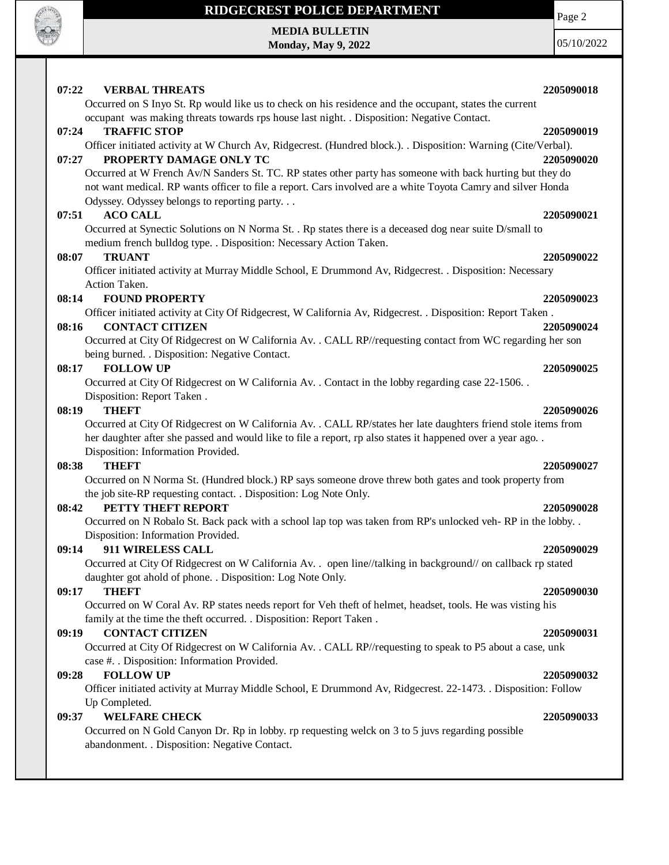

# **RIDGECREST POLICE DEPARTMENT MEDIA BULLETIN**

**Monday, May 9, 2022**

Page 2

| <b>VERBAL THREATS</b><br>07:22     | 2205090018                                                                                                                                                                                                                |
|------------------------------------|---------------------------------------------------------------------------------------------------------------------------------------------------------------------------------------------------------------------------|
|                                    | Occurred on S Inyo St. Rp would like us to check on his residence and the occupant, states the current<br>occupant was making threats towards rps house last night. . Disposition: Negative Contact.                      |
| <b>TRAFFIC STOP</b><br>07:24       | 2205090019                                                                                                                                                                                                                |
|                                    | Officer initiated activity at W Church Av, Ridgecrest. (Hundred block.). . Disposition: Warning (Cite/Verbal).                                                                                                            |
| 07:27                              | PROPERTY DAMAGE ONLY TC<br>2205090020                                                                                                                                                                                     |
|                                    | Occurred at W French Av/N Sanders St. TC. RP states other party has someone with back hurting but they do<br>not want medical. RP wants officer to file a report. Cars involved are a white Toyota Camry and silver Honda |
|                                    | Odyssey. Odyssey belongs to reporting party                                                                                                                                                                               |
| 07:51<br><b>ACO CALL</b>           | 2205090021                                                                                                                                                                                                                |
|                                    | Occurred at Synectic Solutions on N Norma St. . Rp states there is a deceased dog near suite D/small to                                                                                                                   |
|                                    | medium french bulldog type. . Disposition: Necessary Action Taken.                                                                                                                                                        |
| <b>TRUANT</b><br>08:07             | 2205090022                                                                                                                                                                                                                |
|                                    | Officer initiated activity at Murray Middle School, E Drummond Av, Ridgecrest. . Disposition: Necessary                                                                                                                   |
| Action Taken.                      |                                                                                                                                                                                                                           |
| <b>FOUND PROPERTY</b><br>08:14     | 2205090023                                                                                                                                                                                                                |
|                                    | Officer initiated activity at City Of Ridgecrest, W California Av, Ridgecrest. . Disposition: Report Taken.                                                                                                               |
| <b>CONTACT CITIZEN</b><br>08:16    | 2205090024                                                                                                                                                                                                                |
|                                    | Occurred at City Of Ridgecrest on W California Av. . CALL RP//requesting contact from WC regarding her son                                                                                                                |
|                                    | being burned. . Disposition: Negative Contact.                                                                                                                                                                            |
| <b>FOLLOW UP</b><br>08:17          | 2205090025                                                                                                                                                                                                                |
|                                    | Occurred at City Of Ridgecrest on W California Av. . Contact in the lobby regarding case 22-1506. .                                                                                                                       |
| Disposition: Report Taken.         |                                                                                                                                                                                                                           |
| 08:19<br><b>THEFT</b>              | 2205090026                                                                                                                                                                                                                |
|                                    | Occurred at City Of Ridgecrest on W California Av. . CALL RP/states her late daughters friend stole items from                                                                                                            |
|                                    | her daughter after she passed and would like to file a report, rp also states it happened over a year ago. .                                                                                                              |
| Disposition: Information Provided. |                                                                                                                                                                                                                           |
| <b>THEFT</b><br>08:38              | 2205090027                                                                                                                                                                                                                |
|                                    | Occurred on N Norma St. (Hundred block.) RP says someone drove threw both gates and took property from                                                                                                                    |
|                                    | the job site-RP requesting contact. . Disposition: Log Note Only.                                                                                                                                                         |
| PETTY THEFT REPORT<br>08:42        | 2205090028                                                                                                                                                                                                                |
|                                    | Occurred on N Robalo St. Back pack with a school lap top was taken from RP's unlocked veh-RP in the lobby                                                                                                                 |
| Disposition: Information Provided. |                                                                                                                                                                                                                           |
| 911 WIRELESS CALL<br>09:14         | 2205090029                                                                                                                                                                                                                |
|                                    | Occurred at City Of Ridgecrest on W California Av. . open line//talking in background// on callback rp stated                                                                                                             |
|                                    | daughter got ahold of phone. . Disposition: Log Note Only.                                                                                                                                                                |
| <b>THEFT</b><br>09:17              | 2205090030                                                                                                                                                                                                                |
|                                    | Occurred on W Coral Av. RP states needs report for Veh theft of helmet, headset, tools. He was visting his                                                                                                                |
|                                    | family at the time the theft occurred. . Disposition: Report Taken.                                                                                                                                                       |
| <b>CONTACT CITIZEN</b><br>09:19    | 2205090031                                                                                                                                                                                                                |
|                                    | Occurred at City Of Ridgecrest on W California Av. . CALL RP//requesting to speak to P5 about a case, unk                                                                                                                 |
|                                    | case #. . Disposition: Information Provided.                                                                                                                                                                              |
| <b>FOLLOW UP</b><br>09:28          | 2205090032                                                                                                                                                                                                                |
|                                    | Officer initiated activity at Murray Middle School, E Drummond Av, Ridgecrest. 22-1473. . Disposition: Follow                                                                                                             |
| Up Completed.                      |                                                                                                                                                                                                                           |
| 09:37<br><b>WELFARE CHECK</b>      | 2205090033                                                                                                                                                                                                                |
|                                    | Occurred on N Gold Canyon Dr. Rp in lobby. rp requesting welck on 3 to 5 juvs regarding possible                                                                                                                          |
|                                    | abandonment. . Disposition: Negative Contact.                                                                                                                                                                             |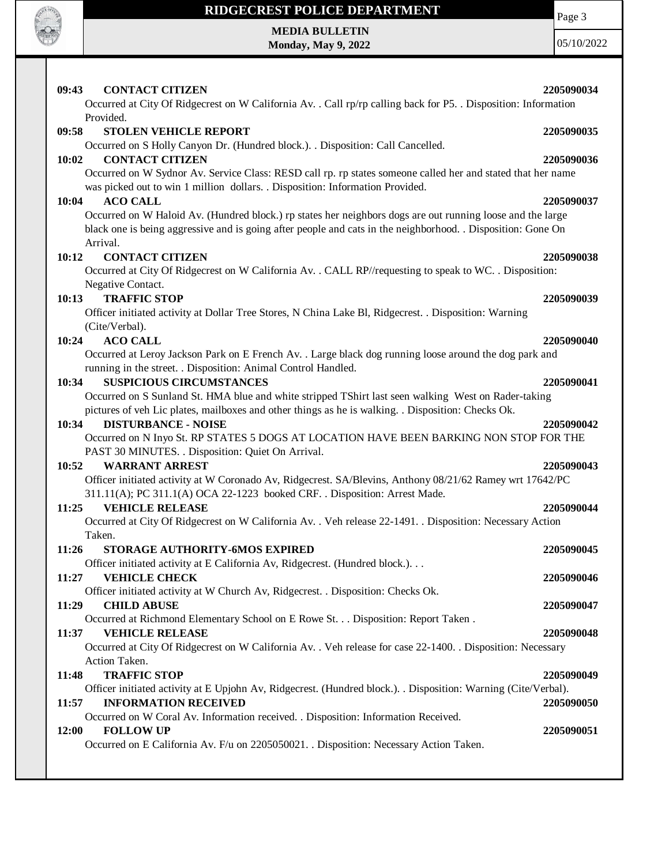

# **RIDGECREST POLICE DEPARTMENT MEDIA BULLETIN**

**Monday, May 9, 2022**

Page 3

| 09:43<br><b>CONTACT CITIZEN</b>                                                                                                                                                        | 2205090034 |
|----------------------------------------------------------------------------------------------------------------------------------------------------------------------------------------|------------|
| Occurred at City Of Ridgecrest on W California Av. . Call rp/rp calling back for P5. . Disposition: Information                                                                        |            |
| Provided.<br>09:58<br><b>STOLEN VEHICLE REPORT</b>                                                                                                                                     | 2205090035 |
| Occurred on S Holly Canyon Dr. (Hundred block.). . Disposition: Call Cancelled.                                                                                                        |            |
| <b>CONTACT CITIZEN</b><br>10:02                                                                                                                                                        | 2205090036 |
| Occurred on W Sydnor Av. Service Class: RESD call rp. rp states someone called her and stated that her name                                                                            |            |
| was picked out to win 1 million dollars. . Disposition: Information Provided.                                                                                                          |            |
| 10:04<br><b>ACO CALL</b>                                                                                                                                                               | 2205090037 |
| Occurred on W Haloid Av. (Hundred block.) rp states her neighbors dogs are out running loose and the large                                                                             |            |
| black one is being aggressive and is going after people and cats in the neighborhood. Disposition: Gone On                                                                             |            |
| Arrival.<br><b>CONTACT CITIZEN</b><br>10:12                                                                                                                                            | 2205090038 |
| Occurred at City Of Ridgecrest on W California Av. . CALL RP//requesting to speak to WC. . Disposition:                                                                                |            |
| Negative Contact.                                                                                                                                                                      |            |
| <b>TRAFFIC STOP</b><br>10:13                                                                                                                                                           | 2205090039 |
| Officer initiated activity at Dollar Tree Stores, N China Lake Bl, Ridgecrest. . Disposition: Warning                                                                                  |            |
| (Cite/Verbal).                                                                                                                                                                         |            |
| <b>ACO CALL</b><br>10:24                                                                                                                                                               | 2205090040 |
| Occurred at Leroy Jackson Park on E French Av. . Large black dog running loose around the dog park and                                                                                 |            |
| running in the street. . Disposition: Animal Control Handled.<br>10:34<br><b>SUSPICIOUS CIRCUMSTANCES</b>                                                                              | 2205090041 |
| Occurred on S Sunland St. HMA blue and white stripped TShirt last seen walking West on Rader-taking                                                                                    |            |
| pictures of veh Lic plates, mailboxes and other things as he is walking. . Disposition: Checks Ok.                                                                                     |            |
| 10:34<br><b>DISTURBANCE - NOISE</b>                                                                                                                                                    | 2205090042 |
| Occurred on N Inyo St. RP STATES 5 DOGS AT LOCATION HAVE BEEN BARKING NON STOP FOR THE                                                                                                 |            |
| PAST 30 MINUTES. . Disposition: Quiet On Arrival.                                                                                                                                      |            |
| <b>WARRANT ARREST</b><br>10:52                                                                                                                                                         | 2205090043 |
| Officer initiated activity at W Coronado Av, Ridgecrest. SA/Blevins, Anthony 08/21/62 Ramey wrt 17642/PC<br>311.11(A); PC 311.1(A) OCA 22-1223 booked CRF. . Disposition: Arrest Made. |            |
| <b>VEHICLE RELEASE</b><br>11:25                                                                                                                                                        | 2205090044 |
| Occurred at City Of Ridgecrest on W California Av. . Veh release 22-1491. . Disposition: Necessary Action                                                                              |            |
| Taken.                                                                                                                                                                                 |            |
| 11:26<br>STORAGE AUTHORITY-6MOS EXPIRED                                                                                                                                                | 2205090045 |
| Officer initiated activity at E California Av, Ridgecrest. (Hundred block.)                                                                                                            |            |
| <b>VEHICLE CHECK</b><br>11:27                                                                                                                                                          | 2205090046 |
| Officer initiated activity at W Church Av, Ridgecrest. . Disposition: Checks Ok.<br>11:29<br><b>CHILD ABUSE</b>                                                                        | 2205090047 |
| Occurred at Richmond Elementary School on E Rowe St. Disposition: Report Taken.                                                                                                        |            |
| <b>VEHICLE RELEASE</b><br>11:37                                                                                                                                                        | 2205090048 |
| Occurred at City Of Ridgecrest on W California Av. . Veh release for case 22-1400. . Disposition: Necessary                                                                            |            |
| Action Taken.                                                                                                                                                                          |            |
| <b>TRAFFIC STOP</b><br>11:48                                                                                                                                                           | 2205090049 |
| Officer initiated activity at E Upjohn Av, Ridgecrest. (Hundred block.). Disposition: Warning (Cite/Verbal).                                                                           |            |
| <b>INFORMATION RECEIVED</b><br>11:57<br>Occurred on W Coral Av. Information received. . Disposition: Information Received.                                                             | 2205090050 |
| 12:00<br><b>FOLLOW UP</b>                                                                                                                                                              | 2205090051 |
| Occurred on E California Av. F/u on 2205050021. . Disposition: Necessary Action Taken.                                                                                                 |            |
|                                                                                                                                                                                        |            |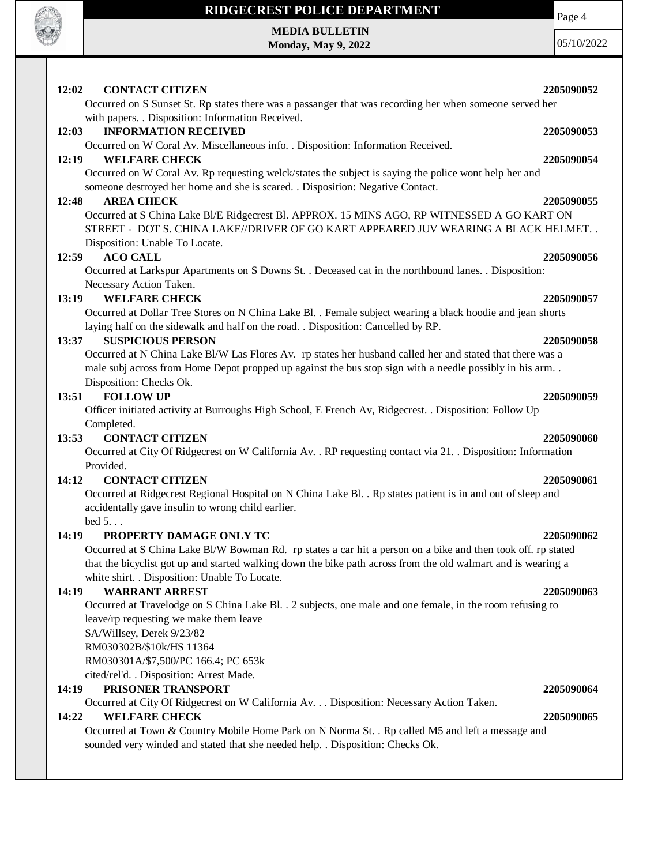

bed 5. . .

## **14:19 PROPERTY DAMAGE ONLY TC 2205090062**

Occurred at S China Lake Bl/W Bowman Rd. rp states a car hit a person on a bike and then took off. rp stated that the bicyclist got up and started walking down the bike path across from the old walmart and is wearing a white shirt. . Disposition: Unable To Locate.

### **14:19 WARRANT ARREST 2205090063**

Occurred at Travelodge on S China Lake Bl. . 2 subjects, one male and one female, in the room refusing to leave/rp requesting we make them leave SA/Willsey, Derek 9/23/82 RM030302B/\$10k/HS 11364 RM030301A/\$7,500/PC 166.4; PC 653k cited/rel'd. . Disposition: Arrest Made.

## **14:19 PRISONER TRANSPORT 2205090064**

Occurred at City Of Ridgecrest on W California Av. . . Disposition: Necessary Action Taken.

### **14:22 WELFARE CHECK 2205090065**

Occurred at Town & Country Mobile Home Park on N Norma St. . Rp called M5 and left a message and sounded very winded and stated that she needed help. . Disposition: Checks Ok.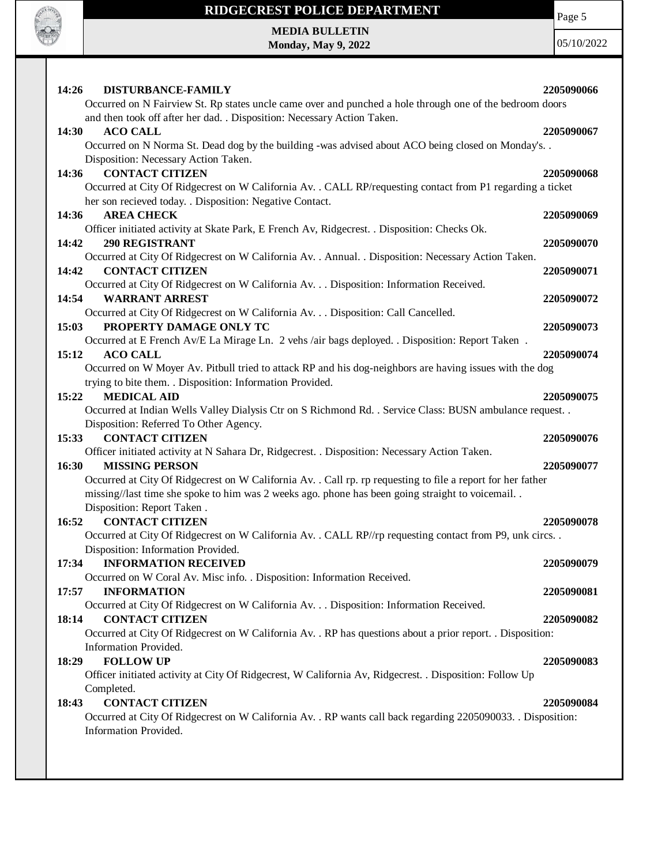

## **RIDGECREST POLICE DEPARTMENT**

Page 5

**MEDIA BULLETIN Monday, May 9, 2022**

| DISTURBANCE-FAMILY<br>14:26                                                                                  | 2205090066 |
|--------------------------------------------------------------------------------------------------------------|------------|
| Occurred on N Fairview St. Rp states uncle came over and punched a hole through one of the bedroom doors     |            |
| and then took off after her dad. . Disposition: Necessary Action Taken.                                      |            |
| 14:30<br><b>ACO CALL</b>                                                                                     | 2205090067 |
| Occurred on N Norma St. Dead dog by the building -was advised about ACO being closed on Monday's. .          |            |
| Disposition: Necessary Action Taken.                                                                         |            |
| <b>CONTACT CITIZEN</b><br>14:36                                                                              | 2205090068 |
| Occurred at City Of Ridgecrest on W California Av. . CALL RP/requesting contact from P1 regarding a ticket   |            |
| her son recieved today. . Disposition: Negative Contact.                                                     |            |
| <b>AREA CHECK</b><br>14:36                                                                                   | 2205090069 |
| Officer initiated activity at Skate Park, E French Av, Ridgecrest. . Disposition: Checks Ok.                 |            |
| <b>290 REGISTRANT</b><br>14:42                                                                               | 2205090070 |
| Occurred at City Of Ridgecrest on W California Av. . Annual. . Disposition: Necessary Action Taken.          |            |
| <b>CONTACT CITIZEN</b><br>14:42                                                                              | 2205090071 |
| Occurred at City Of Ridgecrest on W California Av. Disposition: Information Received.                        |            |
| <b>WARRANT ARREST</b><br>14:54                                                                               | 2205090072 |
| Occurred at City Of Ridgecrest on W California Av. Disposition: Call Cancelled.                              |            |
| PROPERTY DAMAGE ONLY TC<br>15:03                                                                             | 2205090073 |
| Occurred at E French Av/E La Mirage Ln. 2 vehs /air bags deployed. . Disposition: Report Taken.              |            |
| 15:12<br><b>ACO CALL</b>                                                                                     | 2205090074 |
| Occurred on W Moyer Av. Pitbull tried to attack RP and his dog-neighbors are having issues with the dog      |            |
| trying to bite them. . Disposition: Information Provided.                                                    |            |
| 15:22<br><b>MEDICAL AID</b>                                                                                  | 2205090075 |
| Occurred at Indian Wells Valley Dialysis Ctr on S Richmond Rd. . Service Class: BUSN ambulance request. .    |            |
| Disposition: Referred To Other Agency.<br><b>CONTACT CITIZEN</b><br>15:33                                    |            |
| Officer initiated activity at N Sahara Dr, Ridgecrest. . Disposition: Necessary Action Taken.                | 2205090076 |
| 16:30<br><b>MISSING PERSON</b>                                                                               | 2205090077 |
| Occurred at City Of Ridgecrest on W California Av. . Call rp. rp requesting to file a report for her father  |            |
| missing//last time she spoke to him was 2 weeks ago. phone has been going straight to voicemail              |            |
| Disposition: Report Taken.                                                                                   |            |
| <b>CONTACT CITIZEN</b><br>16:52                                                                              | 2205090078 |
| Occurred at City Of Ridgecrest on W California Av. . CALL RP//rp requesting contact from P9, unk circs. .    |            |
| Disposition: Information Provided.                                                                           |            |
| 17:34<br><b>INFORMATION RECEIVED</b>                                                                         | 2205090079 |
| Occurred on W Coral Av. Misc info. . Disposition: Information Received.                                      |            |
| <b>INFORMATION</b><br>17:57                                                                                  | 2205090081 |
| Occurred at City Of Ridgecrest on W California Av. Disposition: Information Received.                        |            |
| <b>CONTACT CITIZEN</b><br>18:14                                                                              | 2205090082 |
| Occurred at City Of Ridgecrest on W California Av. . RP has questions about a prior report. . Disposition:   |            |
| Information Provided.                                                                                        |            |
| <b>FOLLOW UP</b><br>18:29                                                                                    | 2205090083 |
| Officer initiated activity at City Of Ridgecrest, W California Av, Ridgecrest. . Disposition: Follow Up      |            |
| Completed.                                                                                                   |            |
| <b>CONTACT CITIZEN</b><br>18:43                                                                              | 2205090084 |
| Occurred at City Of Ridgecrest on W California Av. . RP wants call back regarding 2205090033. . Disposition: |            |
| Information Provided.                                                                                        |            |
|                                                                                                              |            |
|                                                                                                              |            |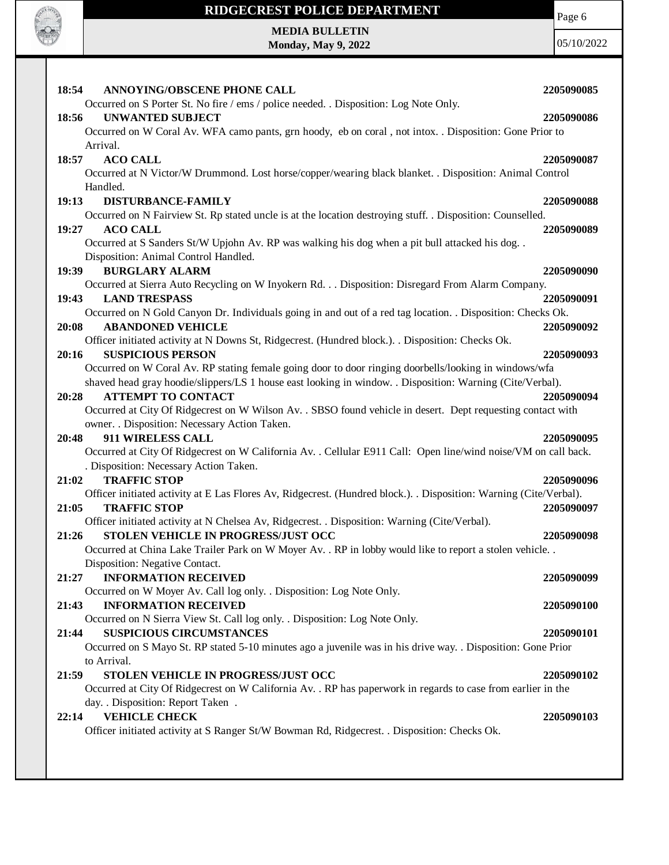

## **RIDGECREST POLICE DEPARTMENT**

**MEDIA BULLETIN Monday, May 9, 2022** Page 6

| 18:54<br><b>ANNOYING/OBSCENE PHONE CALL</b>                                                                                               | 2205090085 |
|-------------------------------------------------------------------------------------------------------------------------------------------|------------|
| Occurred on S Porter St. No fire / ems / police needed. . Disposition: Log Note Only.                                                     |            |
| 18:56<br><b>UNWANTED SUBJECT</b>                                                                                                          | 2205090086 |
| Occurred on W Coral Av. WFA camo pants, grn hoody, eb on coral, not intox. . Disposition: Gone Prior to                                   |            |
| Arrival.                                                                                                                                  |            |
| 18:57<br><b>ACO CALL</b>                                                                                                                  | 2205090087 |
| Occurred at N Victor/W Drummond. Lost horse/copper/wearing black blanket. . Disposition: Animal Control                                   |            |
| Handled.                                                                                                                                  |            |
| 19:13<br>DISTURBANCE-FAMILY                                                                                                               | 2205090088 |
| Occurred on N Fairview St. Rp stated uncle is at the location destroying stuff. . Disposition: Counselled.                                |            |
| 19:27<br><b>ACO CALL</b>                                                                                                                  | 2205090089 |
| Occurred at S Sanders St/W Upjohn Av. RP was walking his dog when a pit bull attacked his dog. .                                          |            |
| Disposition: Animal Control Handled.                                                                                                      |            |
| <b>BURGLARY ALARM</b><br>19:39                                                                                                            | 2205090090 |
| Occurred at Sierra Auto Recycling on W Inyokern Rd. Disposition: Disregard From Alarm Company.                                            |            |
| 19:43<br><b>LAND TRESPASS</b>                                                                                                             | 2205090091 |
| Occurred on N Gold Canyon Dr. Individuals going in and out of a red tag location. . Disposition: Checks Ok.                               |            |
| <b>ABANDONED VEHICLE</b><br>20:08                                                                                                         | 2205090092 |
| Officer initiated activity at N Downs St, Ridgecrest. (Hundred block.). . Disposition: Checks Ok.                                         |            |
| <b>SUSPICIOUS PERSON</b><br>20:16                                                                                                         | 2205090093 |
| Occurred on W Coral Av. RP stating female going door to door ringing doorbells/looking in windows/wfa                                     |            |
| shaved head gray hoodie/slippers/LS 1 house east looking in window. . Disposition: Warning (Cite/Verbal).                                 |            |
| <b>ATTEMPT TO CONTACT</b><br>20:28                                                                                                        | 2205090094 |
| Occurred at City Of Ridgecrest on W Wilson Av. . SBSO found vehicle in desert. Dept requesting contact with                               |            |
| owner. . Disposition: Necessary Action Taken.                                                                                             |            |
| 911 WIRELESS CALL<br>20:48                                                                                                                | 2205090095 |
| Occurred at City Of Ridgecrest on W California Av. . Cellular E911 Call: Open line/wind noise/VM on call back.                            |            |
| . Disposition: Necessary Action Taken.                                                                                                    |            |
| <b>TRAFFIC STOP</b><br>21:02                                                                                                              | 2205090096 |
| Officer initiated activity at E Las Flores Av, Ridgecrest. (Hundred block.). . Disposition: Warning (Cite/Verbal).<br><b>TRAFFIC STOP</b> | 2205090097 |
| 21:05                                                                                                                                     |            |
| Officer initiated activity at N Chelsea Av, Ridgecrest. . Disposition: Warning (Cite/Verbal).<br>STOLEN VEHICLE IN PROGRESS/JUST OCC      |            |
| 21:26<br>Occurred at China Lake Trailer Park on W Moyer Av. . RP in lobby would like to report a stolen vehicle. .                        | 2205090098 |
| Disposition: Negative Contact.                                                                                                            |            |
| <b>INFORMATION RECEIVED</b><br>21:27                                                                                                      | 2205090099 |
| Occurred on W Moyer Av. Call log only. . Disposition: Log Note Only.                                                                      |            |
| <b>INFORMATION RECEIVED</b><br>21:43                                                                                                      | 2205090100 |
| Occurred on N Sierra View St. Call log only. . Disposition: Log Note Only.                                                                |            |
| <b>SUSPICIOUS CIRCUMSTANCES</b><br>21:44                                                                                                  | 2205090101 |
| Occurred on S Mayo St. RP stated 5-10 minutes ago a juvenile was in his drive way. . Disposition: Gone Prior                              |            |
| to Arrival.                                                                                                                               |            |
| STOLEN VEHICLE IN PROGRESS/JUST OCC<br>21:59                                                                                              | 2205090102 |
| Occurred at City Of Ridgecrest on W California Av. . RP has paperwork in regards to case from earlier in the                              |            |
| day. . Disposition: Report Taken .                                                                                                        |            |
| <b>VEHICLE CHECK</b><br>22:14                                                                                                             | 2205090103 |
| Officer initiated activity at S Ranger St/W Bowman Rd, Ridgecrest. . Disposition: Checks Ok.                                              |            |
|                                                                                                                                           |            |
|                                                                                                                                           |            |